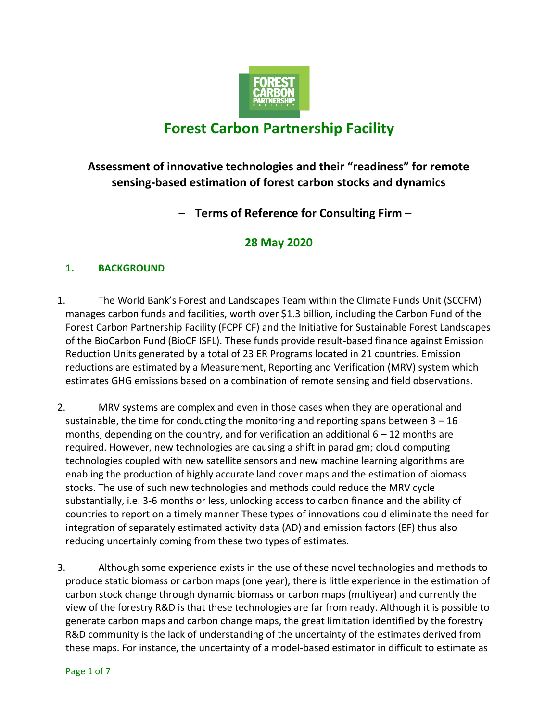

# **Forest Carbon Partnership Facility**

# **Assessment of innovative technologies and their "readiness" for remote sensing-based estimation of forest carbon stocks and dynamics**

– **Terms of Reference for Consulting Firm –**

# **28 May 2020**

# **1. BACKGROUND**

- 1. The World Bank's Forest and Landscapes Team within the Climate Funds Unit (SCCFM) manages carbon funds and facilities, worth over \$1.3 billion, including the Carbon Fund of the Forest Carbon Partnership Facility (FCPF CF) and the Initiative for Sustainable Forest Landscapes of the BioCarbon Fund (BioCF ISFL). These funds provide result-based finance against Emission Reduction Units generated by a total of 23 ER Programs located in 21 countries. Emission reductions are estimated by a Measurement, Reporting and Verification (MRV) system which estimates GHG emissions based on a combination of remote sensing and field observations.
- 2. MRV systems are complex and even in those cases when they are operational and sustainable, the time for conducting the monitoring and reporting spans between  $3 - 16$ months, depending on the country, and for verification an additional  $6 - 12$  months are required. However, new technologies are causing a shift in paradigm; cloud computing technologies coupled with new satellite sensors and new machine learning algorithms are enabling the production of highly accurate land cover maps and the estimation of biomass stocks. The use of such new technologies and methods could reduce the MRV cycle substantially, i.e. 3-6 months or less, unlocking access to carbon finance and the ability of countries to report on a timely manner These types of innovations could eliminate the need for integration of separately estimated activity data (AD) and emission factors (EF) thus also reducing uncertainly coming from these two types of estimates.
- 3. Although some experience exists in the use of these novel technologies and methods to produce static biomass or carbon maps (one year), there is little experience in the estimation of carbon stock change through dynamic biomass or carbon maps (multiyear) and currently the view of the forestry R&D is that these technologies are far from ready. Although it is possible to generate carbon maps and carbon change maps, the great limitation identified by the forestry R&D community is the lack of understanding of the uncertainty of the estimates derived from these maps. For instance, the uncertainty of a model-based estimator in difficult to estimate as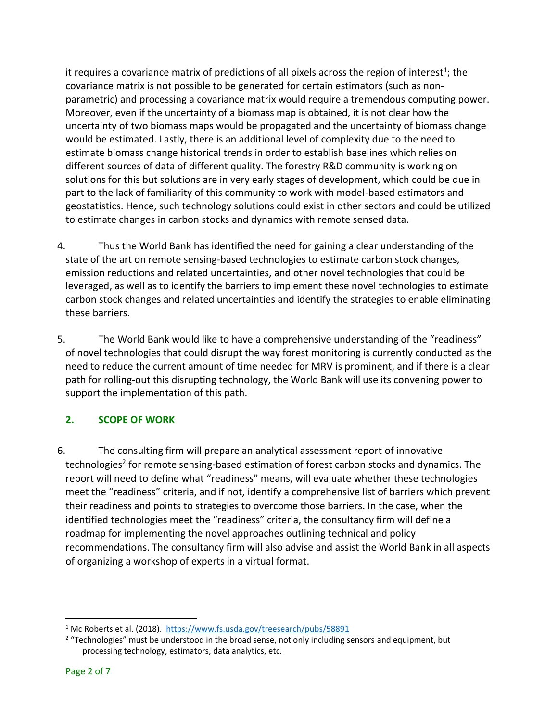it requires a covariance matrix of predictions of all pixels across the region of interest<sup>1</sup>; the covariance matrix is not possible to be generated for certain estimators (such as nonparametric) and processing a covariance matrix would require a tremendous computing power. Moreover, even if the uncertainty of a biomass map is obtained, it is not clear how the uncertainty of two biomass maps would be propagated and the uncertainty of biomass change would be estimated. Lastly, there is an additional level of complexity due to the need to estimate biomass change historical trends in order to establish baselines which relies on different sources of data of different quality. The forestry R&D community is working on solutions for this but solutions are in very early stages of development, which could be due in part to the lack of familiarity of this community to work with model-based estimators and geostatistics. Hence, such technology solutions could exist in other sectors and could be utilized to estimate changes in carbon stocks and dynamics with remote sensed data.

- 4. Thus the World Bank has identified the need for gaining a clear understanding of the state of the art on remote sensing-based technologies to estimate carbon stock changes, emission reductions and related uncertainties, and other novel technologies that could be leveraged, as well as to identify the barriers to implement these novel technologies to estimate carbon stock changes and related uncertainties and identify the strategies to enable eliminating these barriers.
- 5. The World Bank would like to have a comprehensive understanding of the "readiness" of novel technologies that could disrupt the way forest monitoring is currently conducted as the need to reduce the current amount of time needed for MRV is prominent, and if there is a clear path for rolling-out this disrupting technology, the World Bank will use its convening power to support the implementation of this path.

# **2. SCOPE OF WORK**

6. The consulting firm will prepare an analytical assessment report of innovative technologies<sup>2</sup> for remote sensing-based estimation of forest carbon stocks and dynamics. The report will need to define what "readiness" means, will evaluate whether these technologies meet the "readiness" criteria, and if not, identify a comprehensive list of barriers which prevent their readiness and points to strategies to overcome those barriers. In the case, when the identified technologies meet the "readiness" criteria, the consultancy firm will define a roadmap for implementing the novel approaches outlining technical and policy recommendations. The consultancy firm will also advise and assist the World Bank in all aspects of organizing a workshop of experts in a virtual format.

<sup>&</sup>lt;sup>1</sup> Mc Roberts et al. (2018). <https://www.fs.usda.gov/treesearch/pubs/58891>

 $2$  "Technologies" must be understood in the broad sense, not only including sensors and equipment, but processing technology, estimators, data analytics, etc.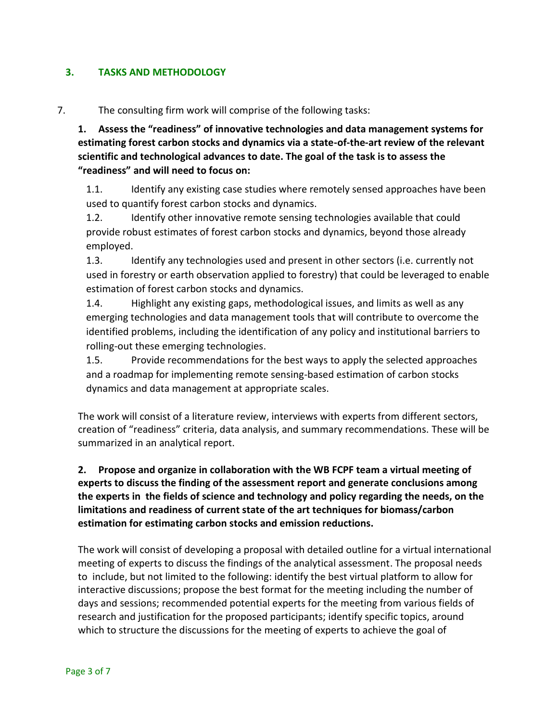### **3. TASKS AND METHODOLOGY**

#### 7. The consulting firm work will comprise of the following tasks:

**1. Assess the "readiness" of innovative technologies and data management systems for estimating forest carbon stocks and dynamics via a state-of-the-art review of the relevant scientific and technological advances to date. The goal of the task is to assess the "readiness" and will need to focus on:** 

1.1. Identify any existing case studies where remotely sensed approaches have been used to quantify forest carbon stocks and dynamics.

1.2. Identify other innovative remote sensing technologies available that could provide robust estimates of forest carbon stocks and dynamics, beyond those already employed.

1.3. Identify any technologies used and present in other sectors (i.e. currently not used in forestry or earth observation applied to forestry) that could be leveraged to enable estimation of forest carbon stocks and dynamics.

1.4. Highlight any existing gaps, methodological issues, and limits as well as any emerging technologies and data management tools that will contribute to overcome the identified problems, including the identification of any policy and institutional barriers to rolling-out these emerging technologies.

1.5. Provide recommendations for the best ways to apply the selected approaches and a roadmap for implementing remote sensing-based estimation of carbon stocks dynamics and data management at appropriate scales.

The work will consist of a literature review, interviews with experts from different sectors, creation of "readiness" criteria, data analysis, and summary recommendations. These will be summarized in an analytical report.

**2. Propose and organize in collaboration with the WB FCPF team a virtual meeting of experts to discuss the finding of the assessment report and generate conclusions among the experts in the fields of science and technology and policy regarding the needs, on the limitations and readiness of current state of the art techniques for biomass/carbon estimation for estimating carbon stocks and emission reductions.** 

The work will consist of developing a proposal with detailed outline for a virtual international meeting of experts to discuss the findings of the analytical assessment. The proposal needs to include, but not limited to the following: identify the best virtual platform to allow for interactive discussions; propose the best format for the meeting including the number of days and sessions; recommended potential experts for the meeting from various fields of research and justification for the proposed participants; identify specific topics, around which to structure the discussions for the meeting of experts to achieve the goal of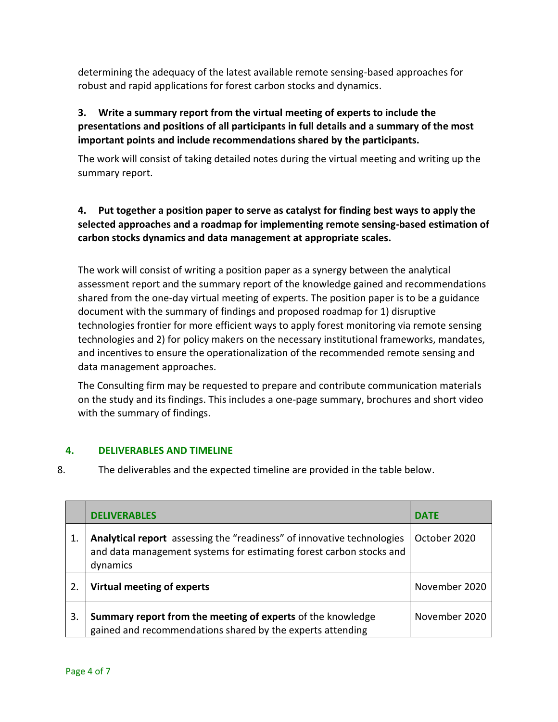determining the adequacy of the latest available remote sensing-based approaches for robust and rapid applications for forest carbon stocks and dynamics.

# **3. Write a summary report from the virtual meeting of experts to include the presentations and positions of all participants in full details and a summary of the most important points and include recommendations shared by the participants.**

The work will consist of taking detailed notes during the virtual meeting and writing up the summary report.

# **4. Put together a position paper to serve as catalyst for finding best ways to apply the selected approaches and a roadmap for implementing remote sensing-based estimation of carbon stocks dynamics and data management at appropriate scales.**

The work will consist of writing a position paper as a synergy between the analytical assessment report and the summary report of the knowledge gained and recommendations shared from the one-day virtual meeting of experts. The position paper is to be a guidance document with the summary of findings and proposed roadmap for 1) disruptive technologies frontier for more efficient ways to apply forest monitoring via remote sensing technologies and 2) for policy makers on the necessary institutional frameworks, mandates, and incentives to ensure the operationalization of the recommended remote sensing and data management approaches.

The Consulting firm may be requested to prepare and contribute communication materials on the study and its findings. This includes a one-page summary, brochures and short video with the summary of findings.

#### **4. DELIVERABLES AND TIMELINE**

8. The deliverables and the expected timeline are provided in the table below.

|    | <b>DELIVERABLES</b>                                                                                                                                       | <b>DATE</b>   |
|----|-----------------------------------------------------------------------------------------------------------------------------------------------------------|---------------|
| 1. | Analytical report assessing the "readiness" of innovative technologies<br>and data management systems for estimating forest carbon stocks and<br>dynamics | October 2020  |
| 2. | Virtual meeting of experts                                                                                                                                | November 2020 |
| 3. | Summary report from the meeting of experts of the knowledge<br>gained and recommendations shared by the experts attending                                 | November 2020 |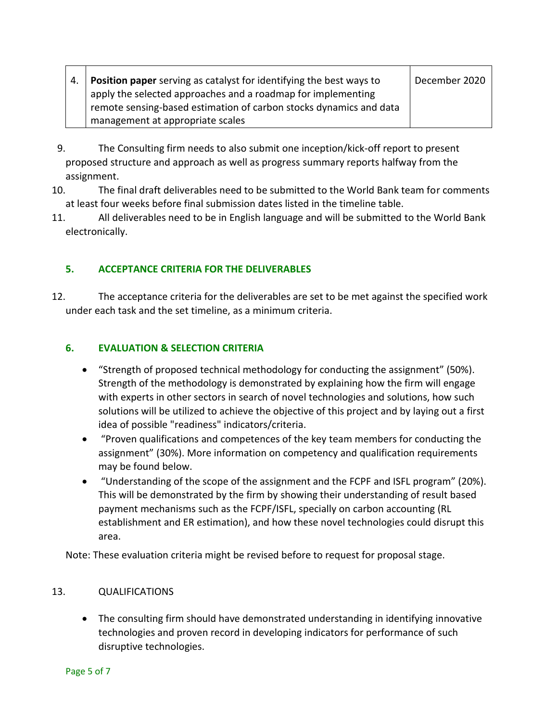|  | <b>Position paper</b> serving as catalyst for identifying the best ways to | December 2020 |
|--|----------------------------------------------------------------------------|---------------|
|  | apply the selected approaches and a roadmap for implementing               |               |
|  | remote sensing-based estimation of carbon stocks dynamics and data         |               |
|  | management at appropriate scales                                           |               |

- 9. The Consulting firm needs to also submit one inception/kick-off report to present proposed structure and approach as well as progress summary reports halfway from the assignment.
- 10. The final draft deliverables need to be submitted to the World Bank team for comments at least four weeks before final submission dates listed in the timeline table.
- 11. All deliverables need to be in English language and will be submitted to the World Bank electronically.

# **5. ACCEPTANCE CRITERIA FOR THE DELIVERABLES**

12. The acceptance criteria for the deliverables are set to be met against the specified work under each task and the set timeline, as a minimum criteria.

# **6. EVALUATION & SELECTION CRITERIA**

- "Strength of proposed technical methodology for conducting the assignment" (50%). Strength of the methodology is demonstrated by explaining how the firm will engage with experts in other sectors in search of novel technologies and solutions, how such solutions will be utilized to achieve the objective of this project and by laying out a first idea of possible "readiness" indicators/criteria.
- "Proven qualifications and competences of the key team members for conducting the assignment" (30%). More information on competency and qualification requirements may be found below.
- "Understanding of the scope of the assignment and the FCPF and ISFL program" (20%). This will be demonstrated by the firm by showing their understanding of result based payment mechanisms such as the FCPF/ISFL, specially on carbon accounting (RL establishment and ER estimation), and how these novel technologies could disrupt this area.

Note: These evaluation criteria might be revised before to request for proposal stage.

#### 13. QUALIFICATIONS

• The consulting firm should have demonstrated understanding in identifying innovative technologies and proven record in developing indicators for performance of such disruptive technologies.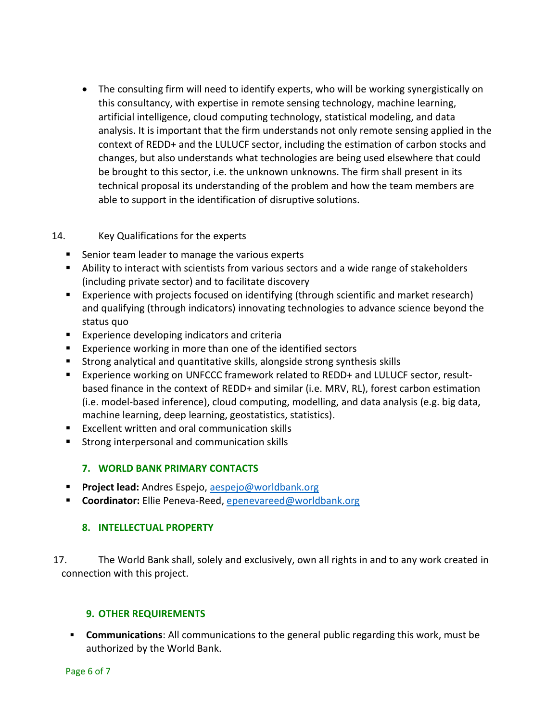• The consulting firm will need to identify experts, who will be working synergistically on this consultancy, with expertise in remote sensing technology, machine learning, artificial intelligence, cloud computing technology, statistical modeling, and data analysis. It is important that the firm understands not only remote sensing applied in the context of REDD+ and the LULUCF sector, including the estimation of carbon stocks and changes, but also understands what technologies are being used elsewhere that could be brought to this sector, i.e. the unknown unknowns. The firm shall present in its technical proposal its understanding of the problem and how the team members are able to support in the identification of disruptive solutions.

#### 14. Key Qualifications for the experts

- Senior team leader to manage the various experts
- Ability to interact with scientists from various sectors and a wide range of stakeholders (including private sector) and to facilitate discovery
- Experience with projects focused on identifying (through scientific and market research) and qualifying (through indicators) innovating technologies to advance science beyond the status quo
- Experience developing indicators and criteria
- Experience working in more than one of the identified sectors
- Strong analytical and quantitative skills, alongside strong synthesis skills
- Experience working on UNFCCC framework related to REDD+ and LULUCF sector, resultbased finance in the context of REDD+ and similar (i.e. MRV, RL), forest carbon estimation (i.e. model-based inference), cloud computing, modelling, and data analysis (e.g. big data, machine learning, deep learning, geostatistics, statistics).
- Excellent written and oral communication skills
- Strong interpersonal and communication skills

#### **7. WORLD BANK PRIMARY CONTACTS**

- **Project lead:** Andres Espejo, [aespejo@worldbank.org](mailto:aespejo@worldbank.org)
- **Coordinator:** Ellie Peneva-Reed[, epenevareed@worldbank.org](mailto:epenevareed@worldbank.org)

#### **8. INTELLECTUAL PROPERTY**

17. The World Bank shall, solely and exclusively, own all rights in and to any work created in connection with this project.

#### **9. OTHER REQUIREMENTS**

▪ **Communications**: All communications to the general public regarding this work, must be authorized by the World Bank.